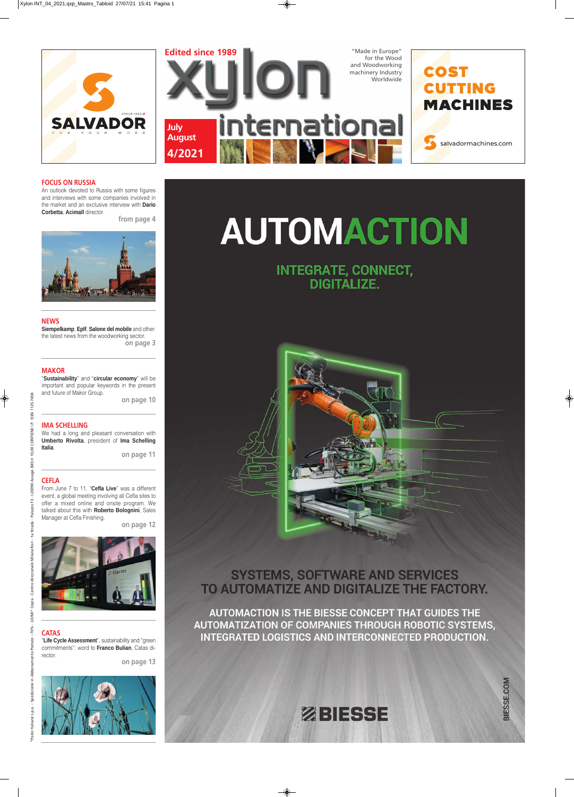



LO/MI"

### **IMA SCHELLING**

We had a long and pleasant conversation with **Umberto Rivolta**, president of **Ima Schelling Italia**.

**on page 11**

### **FOCUS ON RUSSIA**

An outlook devoted to Russia with some figures and interviews with some companies involved in the market and an exclusive interview with **Dario Corbetta**, **Acimall** director.

**from page 4**



### **CEFLA**

From June 7 to 11, "**Cefla Live**" was a different event, a global meeting involving all Cefla sites to offer a mixed online and onsite program. We talked about this with **Roberto Bolognini**, Sales Manager at Cefla Finishing.

**on page 12**



# **AUTOMACTION**

### **INTEGRATE, CONNECT, DIGITALIZE.**



**SYSTEMS, SOFTWARE AND SERVICES** TO AUTOMATIZE AND DIGITALIZE THE FACTORY.

 $0.00$ 

 $(m)$ Assago

### **NEWS**

 $-20090$ ċ

 $\overline{a}$ 



**Siempelkamp**, **Eplf**, **Salone del mobile** and other: the latest news from the woodworking sector. **on page 3**

### **MAKOR**

"**Sustainability**" and "**circular economy**" will be important and popular keywords in the present and future of Makor Group.

**on page 10**

### **CATAS**

"**Life Cycle Assessment**", sustainability and "green commitments": word to **Franco Bulian**, Catas di rector.

**on page 13**



AUTOMACTION IS THE BIESSE CONCEPT THAT GUIDES THE AUTOMATIZATION OF COMPANIES THROUGH ROBOTIC SYSTEMS, **INTEGRATED LOGISTICS AND INTERCONNECTED PRODUCTION.** 

## ZBIESSE

BIESSE.COM